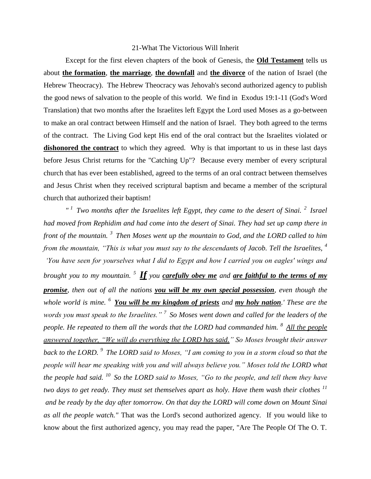## 21-What The Victorious Will Inherit

Except for the first eleven chapters of the book of Genesis, the **Old Testament** tells us about **the formation**, **the marriage**, **the downfall** and **the divorce** of the nation of Israel (the Hebrew Theocracy). The Hebrew Theocracy was Jehovah's second authorized agency to publish the good news of salvation to the people of this world. We find in Exodus 19:1-11 (God's Word Translation) that two months after the Israelites left Egypt the Lord used Moses as a go-between to make an oral contract between Himself and the nation of Israel. They both agreed to the terms of the contract. The Living God kept His end of the oral contract but the Israelites violated or dishonored the contract to which they agreed. Why is that important to us in these last days before Jesus Christ returns for the "Catching Up"? Because every member of every scriptural church that has ever been established, agreed to the terms of an oral contract between themselves and Jesus Christ when they received scriptural baptism and became a member of the scriptural church that authorized their baptism!

*" <sup>1</sup>Two months after the Israelites left Egypt, they came to the desert of Sinai. <sup>2</sup>Israel had moved from Rephidim and had come into the desert of Sinai. They had set up camp there in front of the mountain. <sup>3</sup>Then Moses went up the mountain to God, and the LORD called to him from the mountain, "This is what you must say to the descendants of Jacob. Tell the Israelites, <sup>4</sup> 'You have seen for yourselves what I did to Egypt and how I carried you on eagles' wings and brought you to my mountain. <sup>5</sup>If you carefully obey me and are faithful to the terms of my promise, then out of all the nations you will be my own special possession, even though the whole world is mine. <sup>6</sup>You will be my kingdom of priests and my holy nation.' These are the words you must speak to the Israelites." <sup>7</sup>So Moses went down and called for the leaders of the people. He repeated to them all the words that the LORD had commanded him. <sup>8</sup>All the people answered together, "We will do everything the LORD has said." So Moses brought their answer back to the LORD. <sup>9</sup>The LORD said to Moses, "I am coming to you in a storm cloud so that the people will hear me speaking with you and will always believe you." Moses told the LORD what the people had said. <sup>10</sup>So the LORD said to Moses, "Go to the people, and tell them they have two days to get ready. They must set themselves apart as holy. Have them wash their clothes <sup>11</sup> and be ready by the day after tomorrow. On that day the LORD will come down on Mount Sinai as all the people watch."* That was the Lord's second authorized agency. If you would like to know about the first authorized agency, you may read the paper, "Are The People Of The O. T.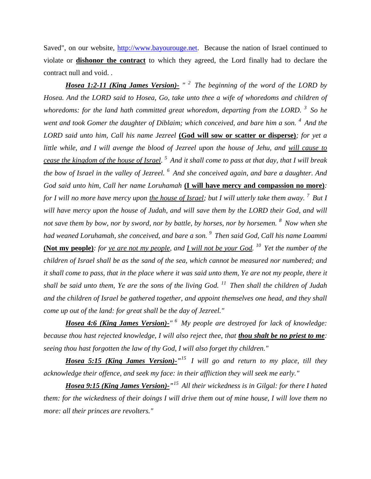Saved", on our website, [http://www.bayourouge.net.](http://www.bayourouge.net/) Because the nation of Israel continued to violate or **dishonor the contract** to which they agreed, the Lord finally had to declare the contract null and void. .

*Hosea 1:2-11 (King James Version)- " <sup>2</sup>The beginning of the word of the LORD by Hosea. And the LORD said to Hosea, Go, take unto thee a wife of whoredoms and children of whoredoms: for the land hath committed great whoredom, departing from the LORD. <sup>3</sup>So he went and took Gomer the daughter of Diblaim; which conceived, and bare him a son.* <sup>4</sup> And the *LORD said unto him, Call his name Jezreel* **(God will sow or scatter or disperse)***; for yet a little while, and I will avenge the blood of Jezreel upon the house of Jehu, and will cause to cease the kingdom of the house of Israel. <sup>5</sup>And it shall come to pass at that day, that I will break the bow of Israel in the valley of Jezreel. <sup>6</sup>And she conceived again, and bare a daughter. And God said unto him, Call her name Loruhamah* **(I will have mercy and compassion no more)***: for I will no more have mercy upon the house of Israel; but I will utterly take them away. <sup>7</sup>But I will have mercy upon the house of Judah, and will save them by the LORD their God, and will not save them by bow, nor by sword, nor by battle, by horses, nor by horsemen. <sup>8</sup>Now when she had weaned Loruhamah, she conceived, and bare a son. <sup>9</sup>Then said God, Call his name Loammi* **(Not my people)***: for ye are not my people, and I will not be your God. <sup>10</sup>Yet the number of the children of Israel shall be as the sand of the sea, which cannot be measured nor numbered; and it shall come to pass, that in the place where it was said unto them, Ye are not my people, there it shall be said unto them, Ye are the sons of the living God. <sup>11</sup>Then shall the children of Judah and the children of Israel be gathered together, and appoint themselves one head, and they shall come up out of the land: for great shall be the day of Jezreel."*

*Hosea 4:6 (King James Version)-" <sup>6</sup>My people are destroyed for lack of knowledge: because thou hast rejected knowledge, I will also reject thee, that thou shalt be no priest to me: seeing thou hast forgotten the law of thy God, I will also forget thy children."*

*Hosea 5:15 (King James Version)-" <sup>15</sup>I will go and return to my place, till they acknowledge their offence, and seek my face: in their affliction they will seek me early."*

*Hosea 9:15 (King James Version)-" <sup>15</sup>All their wickedness is in Gilgal: for there I hated them: for the wickedness of their doings I will drive them out of mine house, I will love them no more: all their princes are revolters."*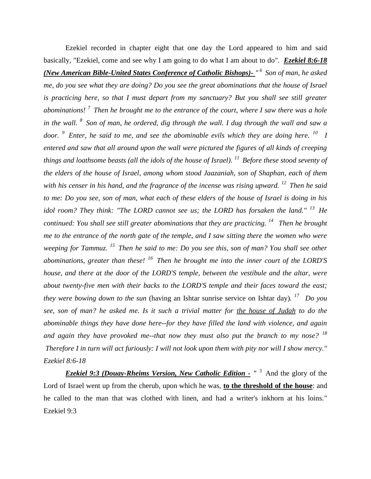Ezekiel recorded in chapter eight that one day the Lord appeared to him and said basically, "Ezekiel, come and see why I am going to do what I am about to do". *Ezekiel 8:6-18 (New American Bible-United States Conference of Catholic Bishops)- " <sup>6</sup>Son of man, he asked me, do you see what they are doing? Do you see the great abominations that the house of Israel is practicing here, so that I must depart from my sanctuary? But you shall see still greater abominations! <sup>7</sup>Then he brought me to the entrance of the court, where I saw there was a hole in the wall. <sup>8</sup>Son of man, he ordered, dig through the wall. I dug through the wall and saw a door. <sup>9</sup>Enter, he said to me, and see the abominable evils which they are doing here. <sup>10</sup>I entered and saw that all around upon the wall were pictured the figures of all kinds of creeping things and loathsome beasts (all the idols of the house of Israel). <sup>11</sup>Before these stood seventy of the elders of the house of Israel, among whom stood Jaazaniah, son of Shaphan, each of them with his censer in his hand, and the fragrance of the incense was rising upward. <sup>12</sup>Then he said to me: Do you see, son of man, what each of these elders of the house of Israel is doing in his idol room? They think: "The LORD cannot see us; the LORD has forsaken the land."* <sup>13</sup> He *continued: You shall see still greater abominations that they are practicing. <sup>14</sup>Then he brought me to the entrance of the north gate of the temple, and I saw sitting there the women who were weeping for Tammuz. <sup>15</sup>Then he said to me: Do you see this, son of man? You shall see other abominations, greater than these! <sup>16</sup>Then he brought me into the inner court of the LORD'S house, and there at the door of the LORD'S temple, between the vestibule and the altar, were about twenty-five men with their backs to the LORD'S temple and their faces toward the east; they were bowing down to the sun* (having an Ishtar sunrise service on Ishtar day)*. <sup>17</sup>Do you see, son of man? he asked me. Is it such a trivial matter for the house of Judah to do the abominable things they have done here--for they have filled the land with violence, and again and again they have provoked me--that now they must also put the branch to my nose? <sup>18</sup> Therefore I in turn will act furiously: I will not look upon them with pity nor will I show mercy." Ezekiel 8:6-18* 

*Ezekiel 9:3 (Douay-Rheims Version, New Catholic Edition - "<sup>3</sup> And the glory of the* Lord of Israel went up from the cherub, upon which he was, **to the threshold of the house**: and he called to the man that was clothed with linen, and had a writer's inkhorn at his loins." Ezekiel 9:3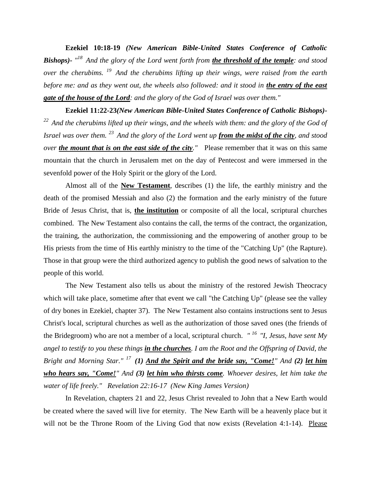**Ezekiel 10:18-19** *(New American Bible-United States Conference of Catholic Bishops)- " <sup>18</sup>And the glory of the Lord went forth from the threshold of the temple: and stood over the cherubims. <sup>19</sup>And the cherubims lifting up their wings, were raised from the earth before me: and as they went out, the wheels also followed: and it stood in the entry of the east gate of the house of the Lord: and the glory of the God of Israel was over them."*

**Ezekiel 11:22-23***(New American Bible-United States Conference of Catholic Bishops)- <sup>22</sup>And the cherubims lifted up their wings, and the wheels with them: and the glory of the God of Israel was over them. <sup>23</sup>And the glory of the Lord went up from the midst of the city, and stood over the mount that is on the east side of the city."* Please remember that it was on this same mountain that the church in Jerusalem met on the day of Pentecost and were immersed in the sevenfold power of the Holy Spirit or the glory of the Lord.

Almost all of the **New Testament**, describes (1) the life, the earthly ministry and the death of the promised Messiah and also (2) the formation and the early ministry of the future Bride of Jesus Christ, that is, **the institution** or composite of all the local, scriptural churches combined. The New Testament also contains the call, the terms of the contract, the organization, the training, the authorization, the commissioning and the empowering of another group to be His priests from the time of His earthly ministry to the time of the "Catching Up" (the Rapture). Those in that group were the third authorized agency to publish the good news of salvation to the people of this world.

The New Testament also tells us about the ministry of the restored Jewish Theocracy which will take place, sometime after that event we call "the Catching Up" (please see the valley of dry bones in Ezekiel, chapter 37). The New Testament also contains instructions sent to Jesus Christ's local, scriptural churches as well as the authorization of those saved ones (the friends of the Bridegroom) who are not a member of a local, scriptural church. *" <sup>16</sup>"I, Jesus, have sent My angel to testify to you these things in the churches. I am the Root and the Offspring of David, the Bright and Morning Star." <sup>17</sup>(1) And the Spirit and the bride say, "Come!" And (2) let him who hears say, "Come!" And (3) let him who thirsts come. Whoever desires, let him take the water of life freely." Revelation 22:16-17 (New King James Version)* 

In Revelation, chapters 21 and 22, Jesus Christ revealed to John that a New Earth would be created where the saved will live for eternity. The New Earth will be a heavenly place but it will not be the Throne Room of the Living God that now exists (Revelation 4:1-14). Please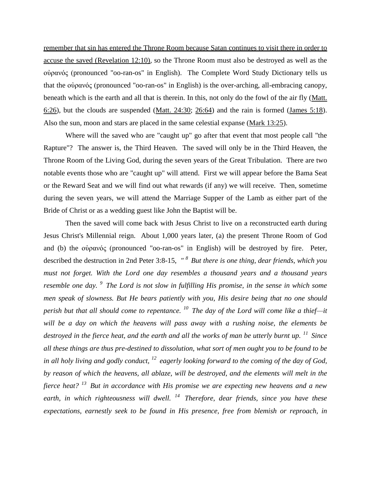remember that sin has entered the Throne Room because Satan continues to visit there in order to accuse the saved (Revelation 12:10)*,* so the Throne Room must also be destroyed as well as the οὐρανός (pronounced "oo-ran-os" in English). The Complete Word Study Dictionary tells us that the οὐρανός (pronounced "oo-ran-os" in English) is the over-arching, all-embracing canopy, beneath which is the earth and all that is therein. In this, not only do the fowl of the air fly [\(Matt.](http://www.crossbooks.com/verse.asp?ref=Mt+6%3A26)  [6:26\)](http://www.crossbooks.com/verse.asp?ref=Mt+6%3A26), but the clouds are suspended [\(Matt. 24:30;](http://www.crossbooks.com/verse.asp?ref=Mt+24%3A30) [26:64\)](http://www.crossbooks.com/verse.asp?ref=Mt+26%3A64) and the rain is formed [\(James 5:18\)](http://www.crossbooks.com/verse.asp?ref=Jas+5%3A18). Also the sun, moon and stars are placed in the same celestial expanse [\(Mark 13:25\)](http://www.crossbooks.com/verse.asp?ref=Mk+13%3A25).

Where will the saved who are "caught up" go after that event that most people call "the Rapture"? The answer is, the Third Heaven. The saved will only be in the Third Heaven, the Throne Room of the Living God, during the seven years of the Great Tribulation. There are two notable events those who are "caught up" will attend. First we will appear before the Bama Seat or the Reward Seat and we will find out what rewards (if any) we will receive. Then, sometime during the seven years, we will attend the Marriage Supper of the Lamb as either part of the Bride of Christ or as a wedding guest like John the Baptist will be.

Then the saved will come back with Jesus Christ to live on a reconstructed earth during Jesus Christ's Millennial reign. About 1,000 years later, (a) the present Throne Room of God and (b) the οὐρανός (pronounced "oo-ran-os" in English) will be destroyed by fire. Peter, described the destruction in 2nd Peter 3:8-15, *" <sup>8</sup>But there is one thing, dear friends, which you must not forget. With the Lord one day resembles a thousand years and a thousand years resemble one day. <sup>9</sup>The Lord is not slow in fulfilling His promise, in the sense in which some men speak of slowness. But He bears patiently with you, His desire being that no one should perish but that all should come to repentance. <sup>10</sup>The day of the Lord will come like a thief—it will be a day on which the heavens will pass away with a rushing noise, the elements be destroyed in the fierce heat, and the earth and all the works of man be utterly burnt up. <sup>11</sup>Since all these things are thus pre-destined to dissolution, what sort of men ought you to be found to be in all holy living and godly conduct, <sup>12</sup>eagerly looking forward to the coming of the day of God, by reason of which the heavens, all ablaze, will be destroyed, and the elements will melt in the fierce heat? <sup>13</sup>But in accordance with His promise we are expecting new heavens and a new earth, in which righteousness will dwell. <sup>14</sup>Therefore, dear friends, since you have these expectations, earnestly seek to be found in His presence, free from blemish or reproach, in*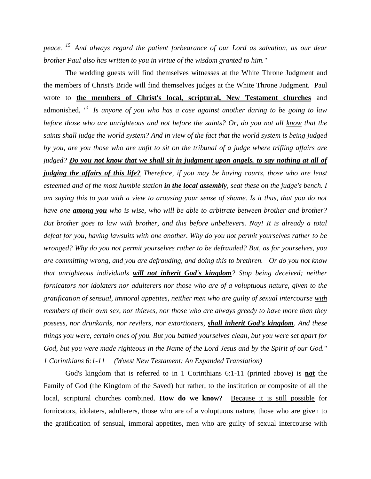*peace. <sup>15</sup>And always regard the patient forbearance of our Lord as salvation, as our dear brother Paul also has written to you in virtue of the wisdom granted to him."* 

The wedding guests will find themselves witnesses at the White Throne Judgment and the members of Christ's Bride will find themselves judges at the White Throne Judgment*.* Paul wrote to **the members of Christ's local, scriptural, New Testament churches** and admonished, *" <sup>1</sup>Is anyone of you who has a case against another daring to be going to law before those who are unrighteous and not before the saints? Or, do you not all know that the saints shall judge the world system? And in view of the fact that the world system is being judged by you, are you those who are unfit to sit on the tribunal of a judge where trifling affairs are judged? Do you not know that we shall sit in judgment upon angels, to say nothing at all of judging the affairs of this life? Therefore, if you may be having courts, those who are least esteemed and of the most humble station in the local assembly, seat these on the judge's bench. I am saying this to you with a view to arousing your sense of shame. Is it thus, that you do not have one among you who is wise, who will be able to arbitrate between brother and brother? But brother goes to law with brother, and this before unbelievers. Nay! It is already a total defeat for you, having lawsuits with one another. Why do you not permit yourselves rather to be wronged? Why do you not permit yourselves rather to be defrauded? But, as for yourselves, you are committing wrong, and you are defrauding, and doing this to brethren. Or do you not know that unrighteous individuals will not inherit God's kingdom? Stop being deceived; neither fornicators nor idolaters nor adulterers nor those who are of a voluptuous nature, given to the gratification of sensual, immoral appetites, neither men who are guilty of sexual intercourse with members of their own sex, nor thieves, nor those who are always greedy to have more than they possess, nor drunkards, nor revilers, nor extortioners, shall inherit God's kingdom. And these things you were, certain ones of you. But you bathed yourselves clean, but you were set apart for God, but you were made righteous in the Name of the Lord Jesus and by the Spirit of our God." 1 Corinthians 6:1-11 (Wuest New Testament: An Expanded Translation)*

God's kingdom that is referred to in 1 Corinthians 6:1-11 (printed above) is **not** the Family of God (the Kingdom of the Saved) but rather, to the institution or composite of all the local, scriptural churches combined. **How do we know?** Because it is still possible for fornicators, idolaters, adulterers, those who are of a voluptuous nature, those who are given to the gratification of sensual, immoral appetites, men who are guilty of sexual intercourse with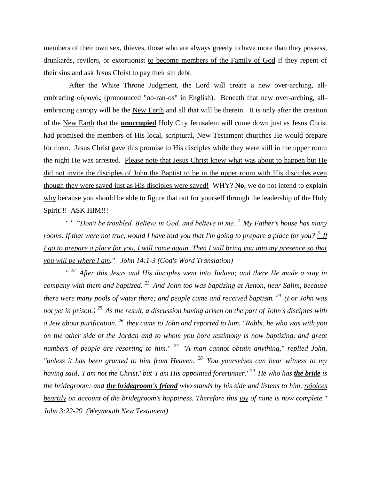members of their own sex, thieves, those who are always greedy to have more than they possess, drunkards, revilers, or extortionist to become members of the Family of God if they repent of their sins and ask Jesus Christ to pay their sin debt.

 After the White Throne Judgment, the Lord will create a new over-arching, allembracing οὐρανός (pronounced "oo-ran-os" in English). Beneath that new over-arching, allembracing canopy will be the New Earth and all that will be therein. It is only after the creation of the New Earth that the **unoccupied** Holy City Jerusalem will come down just as Jesus Christ had promised the members of His local, scriptural, New Testament churches He would prepare for them. Jesus Christ gave this promise to His disciples while they were still in the upper room the night He was arrested. Please note that Jesus Christ knew what was about to happen but He did not invite the disciples of John the Baptist to be in the upper room with His disciples even though they were saved just as His disciples were saved! WHY? **No**, we do not intend to explain why because you should be able to figure that out for yourself through the leadership of the Holy Spirit!!! ASK HIM!!!

*" <sup>1</sup>"Don't be troubled. Believe in God, and believe in me. <sup>2</sup>My Father's house has many rooms. If that were not true, would I have told you that I'm going to prepare a place for you? <sup>3</sup>If I go to prepare a place for you, I will come again. Then I will bring you into my presence so that you will be where I am." John 14:1-3 (God's Word Translation)*

*" <sup>22</sup>After this Jesus and His disciples went into Judaea; and there He made a stay in company with them and baptized. <sup>23</sup>And John too was baptizing at Aenon, near Salim, because there were many pools of water there; and people came and received baptism. <sup>24</sup>(For John was not yet in prison.) <sup>25</sup>As the result, a discussion having arisen on the part of John's disciples with a Jew about purification, <sup>26</sup>they came to John and reported to him, "Rabbi, he who was with you on the other side of the Jordan and to whom you bore testimony is now baptizing, and great numbers of people are resorting to him." <sup>27</sup>"A man cannot obtain anything," replied John, "unless it has been granted to him from Heaven. <sup>28</sup>You yourselves can bear witness to my having said, 'I am not the Christ,' but 'I am His appointed forerunner.' <sup>29</sup>He who has the bride is the bridegroom; and the bridegroom's friend who stands by his side and listens to him, rejoices heartily on account of the bridegroom's happiness. Therefore this joy of mine is now complete." John 3:22-29 (Weymouth New Testament)*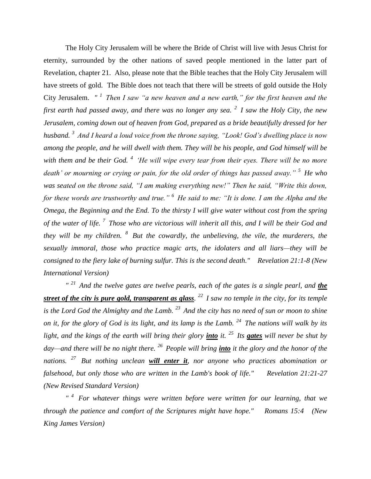The Holy City Jerusalem will be where the Bride of Christ will live with Jesus Christ for eternity, surrounded by the other nations of saved people mentioned in the latter part of Revelation, chapter 21. Also, please note that the Bible teaches that the Holy City Jerusalem will have streets of gold. The Bible does not teach that there will be streets of gold outside the Holy City Jerusalem. *" <sup>1</sup>Then I saw "a new heaven and a new earth," for the first heaven and the first earth had passed away, and there was no longer any sea. <sup>2</sup>I saw the Holy City, the new Jerusalem, coming down out of heaven from God, prepared as a bride beautifully dressed for her husband. <sup>3</sup>And I heard a loud voice from the throne saying, "Look! God's dwelling place is now among the people, and he will dwell with them. They will be his people, and God himself will be with them and be their God. <sup>4</sup>'He will wipe every tear from their eyes. There will be no more death' or mourning or crying or pain, for the old order of things has passed away." <sup>5</sup>He who was seated on the throne said, "I am making everything new!" Then he said, "Write this down, for these words are trustworthy and true." <sup>6</sup>He said to me: "It is done. I am the Alpha and the Omega, the Beginning and the End. To the thirsty I will give water without cost from the spring of the water of life. <sup>7</sup>Those who are victorious will inherit all this, and I will be their God and they will be my children. <sup>8</sup>But the cowardly, the unbelieving, the vile, the murderers, the sexually immoral, those who practice magic arts, the idolaters and all liars—they will be consigned to the fiery lake of burning sulfur. This is the second death." Revelation 21:1-8 (New International Version)*

*" <sup>21</sup>And the twelve gates are twelve pearls, each of the gates is a single pearl, and the street of the city is pure gold, transparent as glass. <sup>22</sup>I saw no temple in the city, for its temple is the Lord God the Almighty and the Lamb. <sup>23</sup>And the city has no need of sun or moon to shine on it, for the glory of God is its light, and its lamp is the Lamb. <sup>24</sup>The nations will walk by its light, and the kings of the earth will bring their glory into it. <sup>25</sup>Its gates will never be shut by day—and there will be no night there. <sup>26</sup>People will bring into it the glory and the honor of the nations. <sup>27</sup>But nothing unclean will enter it, nor anyone who practices abomination or falsehood, but only those who are written in the Lamb's book of life." Revelation 21:21-27 (New Revised Standard Version)*

*" <sup>4</sup>For whatever things were written before were written for our learning, that we through the patience and comfort of the Scriptures might have hope." Romans 15:4 (New King James Version)*